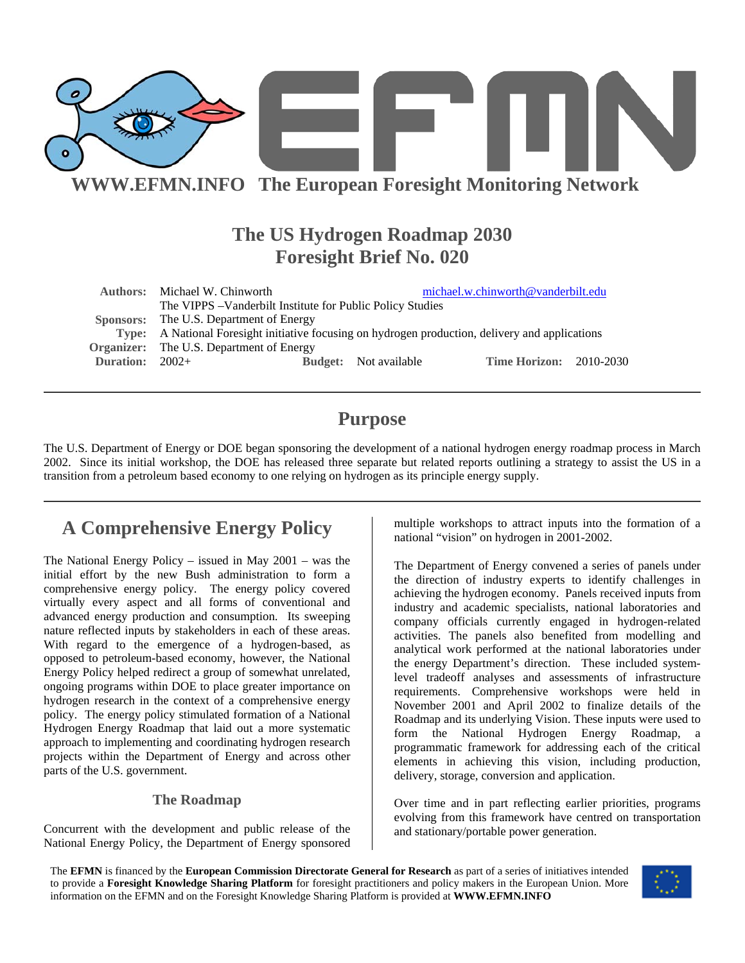

## **WWW.EFMN.INFO The European Foresight Monitoring Network**

## **The US Hydrogen Roadmap 2030 Foresight Brief No. 020**

|                   | <b>Authors:</b> Michael W. Chinworth                                                             |  |                              | michael.w.chinworth@vanderbilt.edu |  |
|-------------------|--------------------------------------------------------------------------------------------------|--|------------------------------|------------------------------------|--|
|                   | The VIPPS - Vanderbilt Institute for Public Policy Studies                                       |  |                              |                                    |  |
|                   | Sponsors: The U.S. Department of Energy                                                          |  |                              |                                    |  |
|                   | Type: A National Foresight initiative focusing on hydrogen production, delivery and applications |  |                              |                                    |  |
|                   | <b>Organizer:</b> The U.S. Department of Energy                                                  |  |                              |                                    |  |
| Duration: $2002+$ |                                                                                                  |  | <b>Budget:</b> Not available | <b>Time Horizon: 2010-2030</b>     |  |
|                   |                                                                                                  |  |                              |                                    |  |

## **Purpose**

The U.S. Department of Energy or DOE began sponsoring the development of a national hydrogen energy roadmap process in March 2002. Since its initial workshop, the DOE has released three separate but related reports outlining a strategy to assist the US in a transition from a petroleum based economy to one relying on hydrogen as its principle energy supply.

# **A Comprehensive Energy Policy**

The National Energy Policy – issued in May 2001 – was the initial effort by the new Bush administration to form a comprehensive energy policy. The energy policy covered virtually every aspect and all forms of conventional and advanced energy production and consumption. Its sweeping nature reflected inputs by stakeholders in each of these areas. With regard to the emergence of a hydrogen-based, as opposed to petroleum-based economy, however, the National Energy Policy helped redirect a group of somewhat unrelated, ongoing programs within DOE to place greater importance on hydrogen research in the context of a comprehensive energy policy. The energy policy stimulated formation of a National Hydrogen Energy Roadmap that laid out a more systematic approach to implementing and coordinating hydrogen research projects within the Department of Energy and across other parts of the U.S. government.

### **The Roadmap**

Concurrent with the development and public release of the National Energy Policy, the Department of Energy sponsored

multiple workshops to attract inputs into the formation of a national "vision" on hydrogen in 2001-2002.

The Department of Energy convened a series of panels under the direction of industry experts to identify challenges in achieving the hydrogen economy. Panels received inputs from industry and academic specialists, national laboratories and company officials currently engaged in hydrogen-related activities. The panels also benefited from modelling and analytical work performed at the national laboratories under the energy Department's direction. These included systemlevel tradeoff analyses and assessments of infrastructure requirements. Comprehensive workshops were held in November 2001 and April 2002 to finalize details of the Roadmap and its underlying Vision. These inputs were used to form the National Hydrogen Energy Roadmap, a programmatic framework for addressing each of the critical elements in achieving this vision, including production, delivery, storage, conversion and application.

Over time and in part reflecting earlier priorities, programs evolving from this framework have centred on transportation and stationary/portable power generation.

The **EFMN** is financed by the **European Commission Directorate General for Research** as part of a series of initiatives intended to provide a **Foresight Knowledge Sharing Platform** for foresight practitioners and policy makers in the European Union. More information on the EFMN and on the Foresight Knowledge Sharing Platform is provided at **WWW.EFMN.INFO**

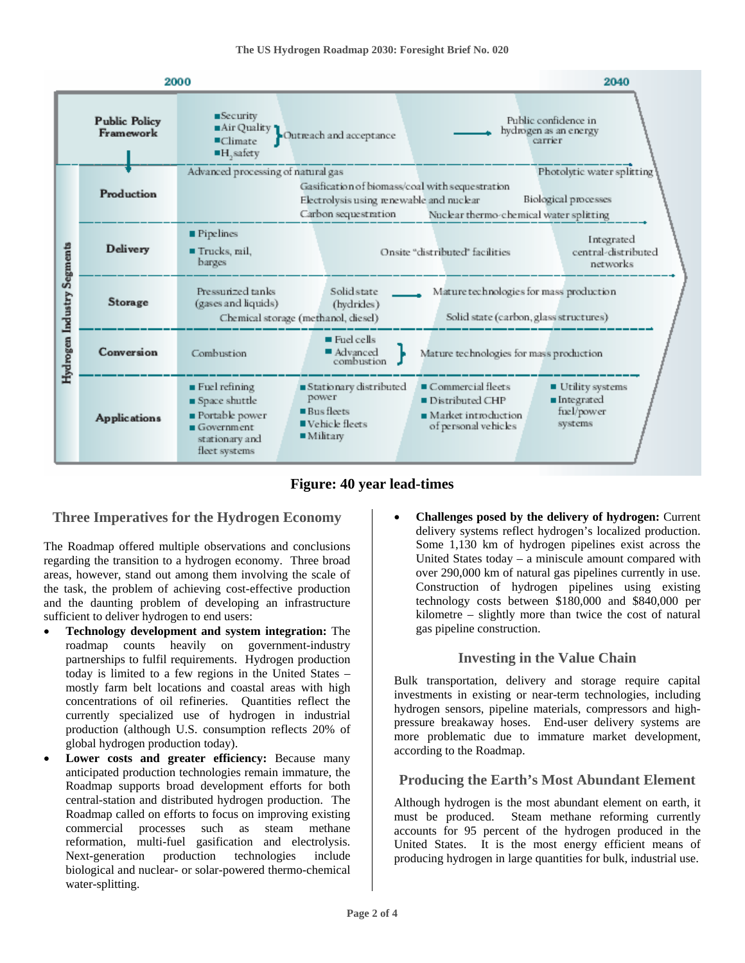

**Figure: 40 year lead-times** 

## **Three Imperatives for the Hydrogen Economy**

The Roadmap offered multiple observations and conclusions regarding the transition to a hydrogen economy. Three broad areas, however, stand out among them involving the scale of the task, the problem of achieving cost-effective production and the daunting problem of developing an infrastructure sufficient to deliver hydrogen to end users:

- **Technology development and system integration:** The roadmap counts heavily on government-industry partnerships to fulfil requirements. Hydrogen production today is limited to a few regions in the United States – mostly farm belt locations and coastal areas with high concentrations of oil refineries. Quantities reflect the currently specialized use of hydrogen in industrial production (although U.S. consumption reflects 20% of global hydrogen production today).
- Lower costs and greater efficiency: Because many anticipated production technologies remain immature, the Roadmap supports broad development efforts for both central-station and distributed hydrogen production. The Roadmap called on efforts to focus on improving existing commercial processes such as steam methane reformation, multi-fuel gasification and electrolysis. Next-generation production technologies include biological and nuclear- or solar-powered thermo-chemical water-splitting.

• **Challenges posed by the delivery of hydrogen:** Current delivery systems reflect hydrogen's localized production. Some 1,130 km of hydrogen pipelines exist across the United States today – a miniscule amount compared with over 290,000 km of natural gas pipelines currently in use. Construction of hydrogen pipelines using existing technology costs between \$180,000 and \$840,000 per kilometre – slightly more than twice the cost of natural gas pipeline construction.

## **Investing in the Value Chain**

Bulk transportation, delivery and storage require capital investments in existing or near-term technologies, including hydrogen sensors, pipeline materials, compressors and highpressure breakaway hoses. End-user delivery systems are more problematic due to immature market development, according to the Roadmap.

## **Producing the Earth's Most Abundant Element**

Although hydrogen is the most abundant element on earth, it must be produced. Steam methane reforming currently accounts for 95 percent of the hydrogen produced in the United States. It is the most energy efficient means of producing hydrogen in large quantities for bulk, industrial use.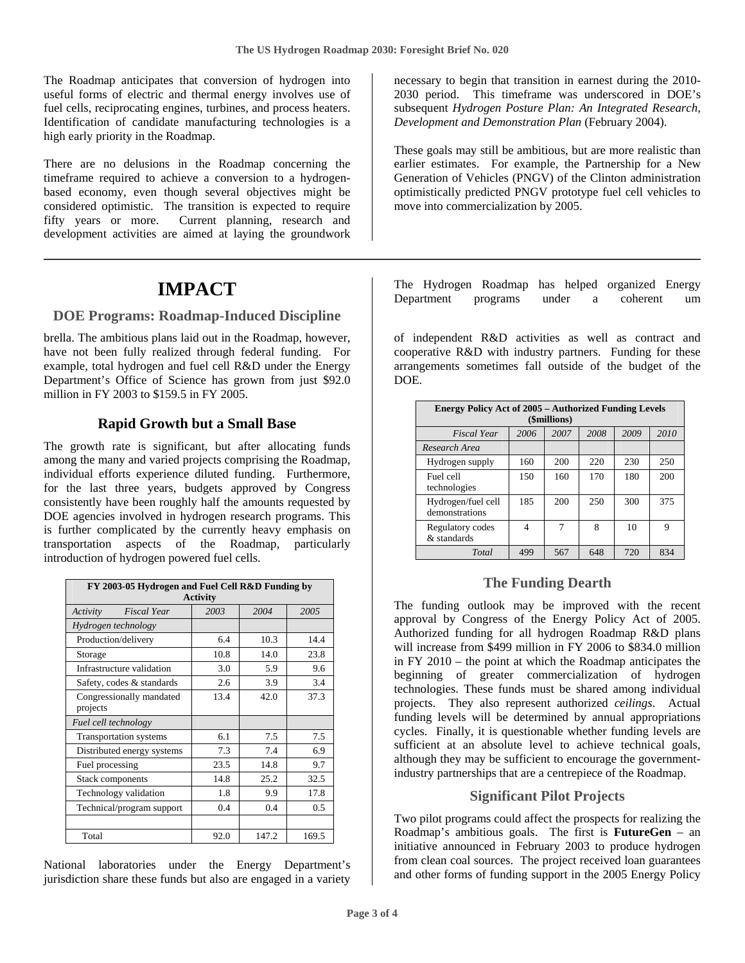The Roadmap anticipates that conversion of hydrogen into useful forms of electric and thermal energy involves use of fuel cells, reciprocating engines, turbines, and process heaters. Identification of candidate manufacturing technologies is a high early priority in the Roadmap.

There are no delusions in the Roadmap concerning the timeframe required to achieve a conversion to a hydrogenbased economy, even though several objectives might be considered optimistic. The transition is expected to require fifty years or more. Current planning, research and development activities are aimed at laying the groundwork

## **IMPACT**

#### **DOE Programs: Roadmap-Induced Discipline**

brella. The ambitious plans laid out in the Roadmap, however, have not been fully realized through federal funding. For example, total hydrogen and fuel cell R&D under the Energy Department's Office of Science has grown from just \$92.0 million in FY 2003 to \$159.5 in FY 2005.

### **Rapid Growth but a Small Base**

The growth rate is significant, but after allocating funds among the many and varied projects comprising the Roadmap, individual efforts experience diluted funding. Furthermore, for the last three years, budgets approved by Congress consistently have been roughly half the amounts requested by DOE agencies involved in hydrogen research programs. This is further complicated by the currently heavy emphasis on transportation aspects of the Roadmap, particularly introduction of hydrogen powered fuel cells.

| FY 2003-05 Hydrogen and Fuel Cell R&D Funding by<br><b>Activity</b> |      |       |       |  |  |
|---------------------------------------------------------------------|------|-------|-------|--|--|
| Activity<br><b>Fiscal Year</b>                                      | 2003 | 2004  | 2005  |  |  |
| Hydrogen technology                                                 |      |       |       |  |  |
| Production/delivery                                                 | 6.4  | 10.3  | 14.4  |  |  |
| Storage                                                             | 10.8 | 14.0  | 23.8  |  |  |
| Infrastructure validation                                           | 3.0  | 5.9   | 9.6   |  |  |
| Safety, codes & standards                                           | 2.6  | 3.9   | 3.4   |  |  |
| Congressionally mandated<br>projects                                | 13.4 | 42.0  | 37.3  |  |  |
| Fuel cell technology                                                |      |       |       |  |  |
| <b>Transportation systems</b>                                       | 6.1  | 7.5   | 7.5   |  |  |
| Distributed energy systems                                          | 7.3  | 7.4   | 6.9   |  |  |
| Fuel processing                                                     | 23.5 | 14.8  | 9.7   |  |  |
| Stack components                                                    | 14.8 | 25.2  | 32.5  |  |  |
| Technology validation                                               | 1.8  | 9.9   | 17.8  |  |  |
| Technical/program support                                           | 0.4  | 0.4   | 0.5   |  |  |
|                                                                     |      |       |       |  |  |
| Total                                                               | 92.0 | 147.2 | 169.5 |  |  |

National laboratories under the Energy Department's jurisdiction share these funds but also are engaged in a variety necessary to begin that transition in earnest during the 2010- 2030 period. This timeframe was underscored in DOE's subsequent *Hydrogen Posture Plan: An Integrated Research, Development and Demonstration Plan* (February 2004).

These goals may still be ambitious, but are more realistic than earlier estimates. For example, the Partnership for a New Generation of Vehicles (PNGV) of the Clinton administration optimistically predicted PNGV prototype fuel cell vehicles to move into commercialization by 2005.

The Hydrogen Roadmap has helped organized Energy Department programs under a coherent um

of independent R&D activities as well as contract and cooperative R&D with industry partners. Funding for these arrangements sometimes fall outside of the budget of the DOE.

| <b>Energy Policy Act of 2005 - Authorized Funding Levels</b><br>(\$millions) |      |      |      |      |      |
|------------------------------------------------------------------------------|------|------|------|------|------|
| <b>Fiscal Year</b>                                                           | 2006 | 2007 | 2008 | 2009 | 2010 |
| Research Area                                                                |      |      |      |      |      |
| Hydrogen supply                                                              | 160  | 200  | 220  | 230  | 250  |
| Fuel cell<br>technologies                                                    | 150  | 160  | 170  | 180  | 200  |
| Hydrogen/fuel cell<br>demonstrations                                         | 185  | 200  | 250  | 300  | 375  |
| Regulatory codes<br>& standards                                              | 4    | 7    | 8    | 10   | 9    |
| Total                                                                        | 499  | 567  | 648  | 720  | 834  |

#### **The Funding Dearth**

The funding outlook may be improved with the recent approval by Congress of the Energy Policy Act of 2005. Authorized funding for all hydrogen Roadmap R&D plans will increase from \$499 million in FY 2006 to \$834.0 million in FY 2010 – the point at which the Roadmap anticipates the beginning of greater commercialization of hydrogen technologies. These funds must be shared among individual projects. They also represent authorized *ceilings*. Actual funding levels will be determined by annual appropriations cycles. Finally, it is questionable whether funding levels are sufficient at an absolute level to achieve technical goals, although they may be sufficient to encourage the governmentindustry partnerships that are a centrepiece of the Roadmap.

#### **Significant Pilot Projects**

Two pilot programs could affect the prospects for realizing the Roadmap's ambitious goals. The first is **FutureGen** – an initiative announced in February 2003 to produce hydrogen from clean coal sources. The project received loan guarantees and other forms of funding support in the 2005 Energy Policy